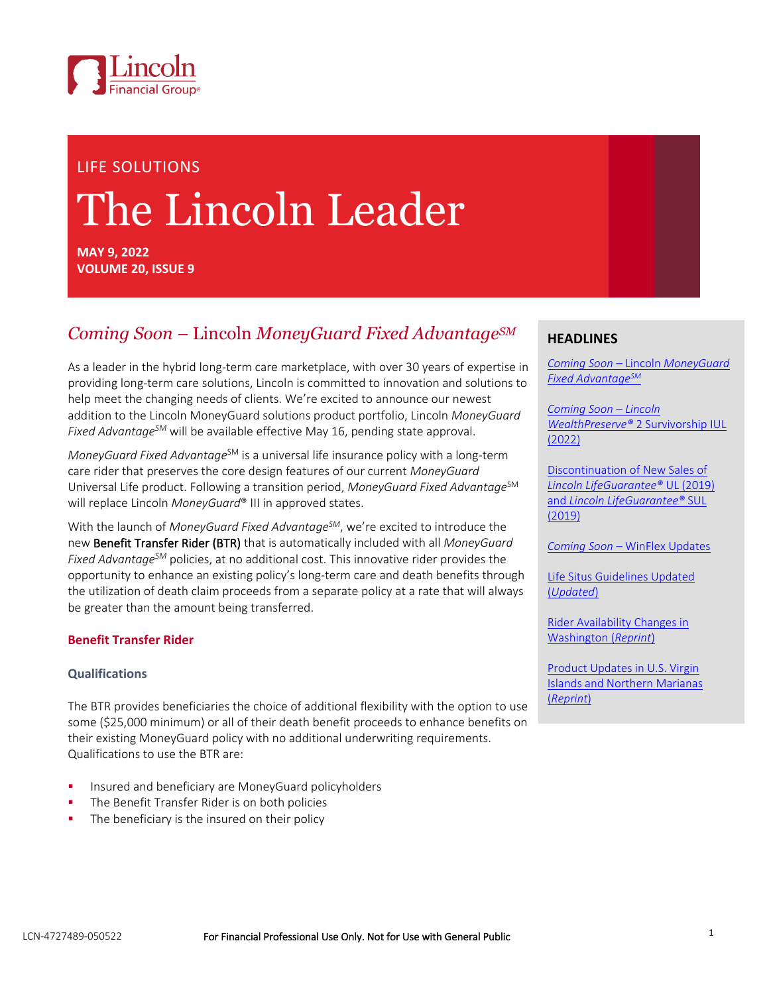

# LIFE SOLUTIONS The Lincoln Leader

**MAY 9, 2022 VOLUME 20, ISSUE 9**

## *Coming Soon –* Lincoln *MoneyGuard Fixed AdvantageSM*

As a leader in the hybrid long-term care marketplace, with over 30 years of expertise in providing long-term care solutions, Lincoln is committed to innovation and solutions to help meet the changing needs of clients. We're excited to announce our newest addition to the Lincoln MoneyGuard solutions product portfolio, Lincoln *MoneyGuard Fixed AdvantageSM* will be available effective May 16, pending state approval.

*MoneyGuard Fixed Advantage<sup>SM</sup>* is a universal life insurance policy with a long-term care rider that preserves the core design features of our current *MoneyGuard* Universal Life product. Following a transition period, *MoneyGuard Fixed Advantage*SM will replace Lincoln *MoneyGuard*® III in approved states.

With the launch of *MoneyGuard Fixed AdvantageSM*, we're excited to introduce the new Benefit Transfer Rider (BTR) that is automatically included with all *MoneyGuard Fixed AdvantageSM* policies, at no additional cost. This innovative rider provides the opportunity to enhance an existing policy's long-term care and death benefits through the utilization of death claim proceeds from a separate policy at a rate that will always be greater than the amount being transferred.

#### **Benefit Transfer Rider**

#### **Qualifications**

The BTR provides beneficiaries the choice of additional flexibility with the option to use some (\$25,000 minimum) or all of their death benefit proceeds to enhance benefits on their existing MoneyGuard policy with no additional underwriting requirements. Qualifications to use the BTR are:

- Insured and beneficiary are MoneyGuard policyholders
- The Benefit Transfer Rider is on both policies
- The beneficiary is the insured on their policy

#### <span id="page-0-0"></span>**HEADLINES**

*Coming Soon –* Lincoln *[MoneyGuard](#page-0-0)  [Fixed Advantage](#page-0-0)SM*

*[Coming Soon](#page-3-0) – Lincoln WealthPreserve®* [2 Survivorship IUL](#page-3-0)  [\(2022\)](#page-3-0)

[Discontinuation of New Sales of](#page-5-0)  *[Lincoln LifeGuarantee](#page-5-0)®* UL (2019) and *[Lincoln LifeGuarantee](#page-5-0)®* SUL [\(2019\)](#page-5-0)

*Coming Soon –* [WinFlex Updates](#page-6-0)

[Life Situs Guidelines Updated](#page-6-1)  (*[Updated](#page-6-1)*)

[Rider Availability Changes in](#page-7-0)  [Washington](#page-7-0) (*Reprint*)

[Product Updates in U.S. Virgin](#page-7-1)  [Islands and Northern Marianas](#page-7-1) (*[Reprint](#page-7-1)*)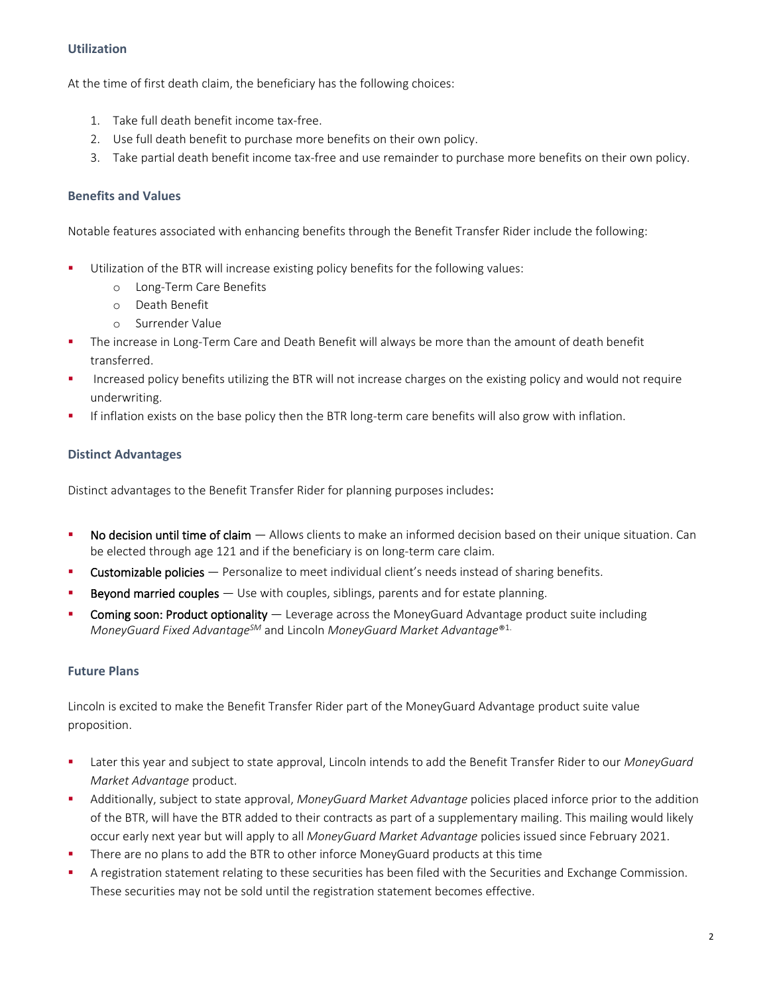#### **Utilization**

At the time of first death claim, the beneficiary has the following choices:

- 1. Take full death benefit income tax-free.
- 2. Use full death benefit to purchase more benefits on their own policy.
- 3. Take partial death benefit income tax-free and use remainder to purchase more benefits on their own policy.

#### **Benefits and Values**

Notable features associated with enhancing benefits through the Benefit Transfer Rider include the following:

- **■** Utilization of the BTR will increase existing policy benefits for the following values:
	- o Long-Term Care Benefits
	- o Death Benefit
	- o Surrender Value
- The increase in Long-Term Care and Death Benefit will always be more than the amount of death benefit transferred.
- Increased policy benefits utilizing the BTR will not increase charges on the existing policy and would not require underwriting.
- If inflation exists on the base policy then the BTR long-term care benefits will also grow with inflation.

#### **Distinct Advantages**

Distinct advantages to the Benefit Transfer Rider for planning purposes includes:

- No decision until time of claim  $-$  Allows clients to make an informed decision based on their unique situation. Can be elected through age 121 and if the beneficiary is on long-term care claim.
- Customizable policies Personalize to meet individual client's needs instead of sharing benefits.
- **Beyond married couples**  $-$  Use with couples, siblings, parents and for estate planning.
- Coming soon: Product optionality Leverage across the MoneyGuard Advantage product suite including *MoneyGuard Fixed AdvantageSM* and Lincoln *MoneyGuard Market Advantage*® 1.

#### **Future Plans**

Lincoln is excited to make the Benefit Transfer Rider part of the MoneyGuard Advantage product suite value proposition.

- Later this year and subject to state approval, Lincoln intends to add the Benefit Transfer Rider to our *MoneyGuard Market Advantage* product.
- Additionally, subject to state approval, *MoneyGuard Market Advantage* policies placed inforce prior to the addition of the BTR, will have the BTR added to their contracts as part of a supplementary mailing. This mailing would likely occur early next year but will apply to all *MoneyGuard Market Advantage* policies issued since February 2021.
- There are no plans to add the BTR to other inforce MoneyGuard products at this time
- A registration statement relating to these securities has been filed with the Securities and Exchange Commission. These securities may not be sold until the registration statement becomes effective.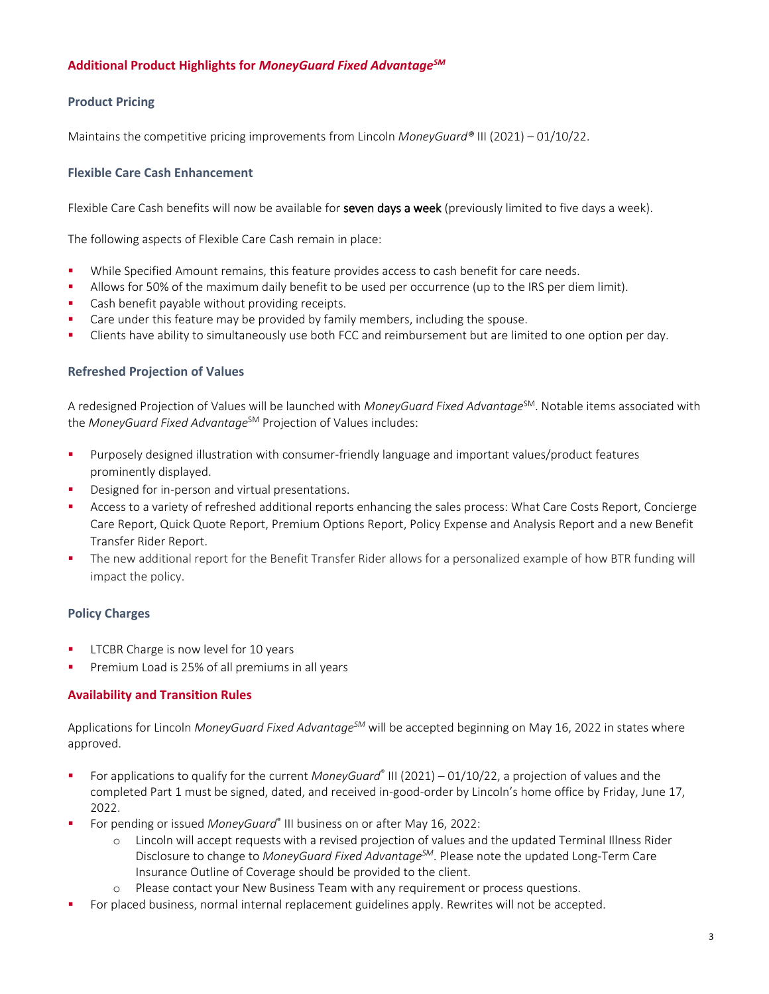#### **Additional Product Highlights for** *MoneyGuard Fixed AdvantageSM*

#### **Product Pricing**

Maintains the competitive pricing improvements from Lincoln *MoneyGuard®* III (2021) – 01/10/22.

#### **Flexible Care Cash Enhancement**

Flexible Care Cash benefits will now be available for seven days a week (previously limited to five days a week).

The following aspects of Flexible Care Cash remain in place:

- While Specified Amount remains, this feature provides access to cash benefit for care needs.
- **•** Allows for 50% of the maximum daily benefit to be used per occurrence (up to the IRS per diem limit).
- Cash benefit payable without providing receipts.
- Care under this feature may be provided by family members, including the spouse.
- Clients have ability to simultaneously use both FCC and reimbursement but are limited to one option per day.

#### **Refreshed Projection of Values**

A redesigned Projection of Values will be launched with *MoneyGuard Fixed Advantage*<sup>SM</sup>. Notable items associated with the *MoneyGuard Fixed Advantage<sup>SM</sup>* Projection of Values includes:

- Purposely designed illustration with consumer-friendly language and important values/product features prominently displayed.
- Designed for in-person and virtual presentations.
- Access to a variety of refreshed additional reports enhancing the sales process: What Care Costs Report, Concierge Care Report, Quick Quote Report, Premium Options Report, Policy Expense and Analysis Report and a new Benefit Transfer Rider Report.
- The new additional report for the Benefit Transfer Rider allows for a personalized example of how BTR funding will impact the policy.

#### **Policy Charges**

- LTCBR Charge is now level for 10 years
- Premium Load is 25% of all premiums in all years

#### **Availability and Transition Rules**

Applications for Lincoln *MoneyGuard Fixed AdvantageSM* will be accepted beginning on May 16, 2022 in states where approved.

- For applications to qualify for the current *MoneyGuard*® III (2021) 01/10/22, a projection of values and the completed Part 1 must be signed, dated, and received in-good-order by Lincoln's home office by Friday, June 17, 2022.
- For pending or issued *MoneyGuard*® III business on or after May 16, 2022:
	- o Lincoln will accept requests with a revised projection of values and the updated Terminal Illness Rider Disclosure to change to *MoneyGuard Fixed AdvantageSM*. Please note the updated Long-Term Care Insurance Outline of Coverage should be provided to the client.
	- o Please contact your New Business Team with any requirement or process questions.
- For placed business, normal internal replacement guidelines apply. Rewrites will not be accepted.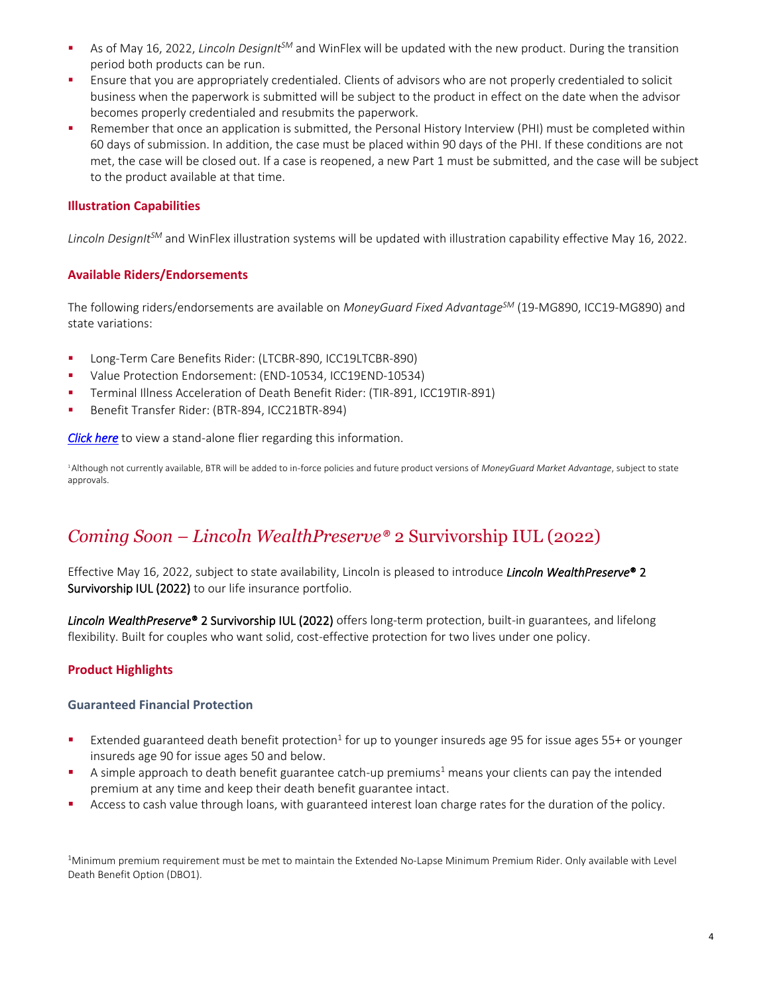- As of May 16, 2022, *Lincoln DesignIt<sup>SM</sup>* and WinFlex will be updated with the new product. During the transition period both products can be run.
- **E** Ensure that you are appropriately credentialed. Clients of advisors who are not properly credentialed to solicit business when the paperwork is submitted will be subject to the product in effect on the date when the advisor becomes properly credentialed and resubmits the paperwork.
- Remember that once an application is submitted, the Personal History Interview (PHI) must be completed within 60 days of submission. In addition, the case must be placed within 90 days of the PHI. If these conditions are not met, the case will be closed out. If a case is reopened, a new Part 1 must be submitted, and the case will be subject to the product available at that time.

#### **Illustration Capabilities**

*Lincoln DesignItSM* and WinFlex illustration systems will be updated with illustration capability effective May 16, 2022.

#### **Available Riders/Endorsements**

The following riders/endorsements are available on *MoneyGuard Fixed AdvantageSM* (19-MG890, ICC19-MG890) and state variations:

- Long-Term Care Benefits Rider: (LTCBR-890, ICC19LTCBR-890)
- Value Protection Endorsement: (END-10534, ICC19END-10534)
- Terminal Illness Acceleration of Death Benefit Rider: (TIR-891, ICC19TIR-891)
- Benefit Transfer Rider: (BTR-894, ICC21BTR-894)

*[Click here](https://visit.lfg.com/MG-WWHW-FLI012)* to view a stand-alone flier regarding this information.

<sup>1</sup>Although not currently available, BTR will be added to in-force policies and future product versions of *MoneyGuard Market Advantage*, subject to state approvals.

## <span id="page-3-0"></span>*Coming Soon – Lincoln WealthPreserve®* 2 Survivorship IUL (2022)

Effective May 16, 2022, subject to state availability, Lincoln is pleased to introduce *Lincoln WealthPreserve*®2 Survivorship IUL (2022) to our life insurance portfolio.

*Lincoln WealthPreserve*®2 Survivorship IUL (2022) offers long-term protection, built-in guarantees, and lifelong flexibility. Built for couples who want solid, cost-effective protection for two lives under one policy.

#### **Product Highlights**

#### **Guaranteed Financial Protection**

- **Extended guaranteed death benefit protection**<sup>1</sup> for up to younger insureds age 95 for issue ages 55+ or younger insureds age 90 for issue ages 50 and below.
- A simple approach to death benefit guarantee catch-up premiums<sup>1</sup> means your clients can pay the intended premium at any time and keep their death benefit guarantee intact.
- Access to cash value through loans, with guaranteed interest loan charge rates for the duration of the policy.

<sup>1</sup>Minimum premium requirement must be met to maintain the Extended No-Lapse Minimum Premium Rider. Only available with Level Death Benefit Option (DBO1).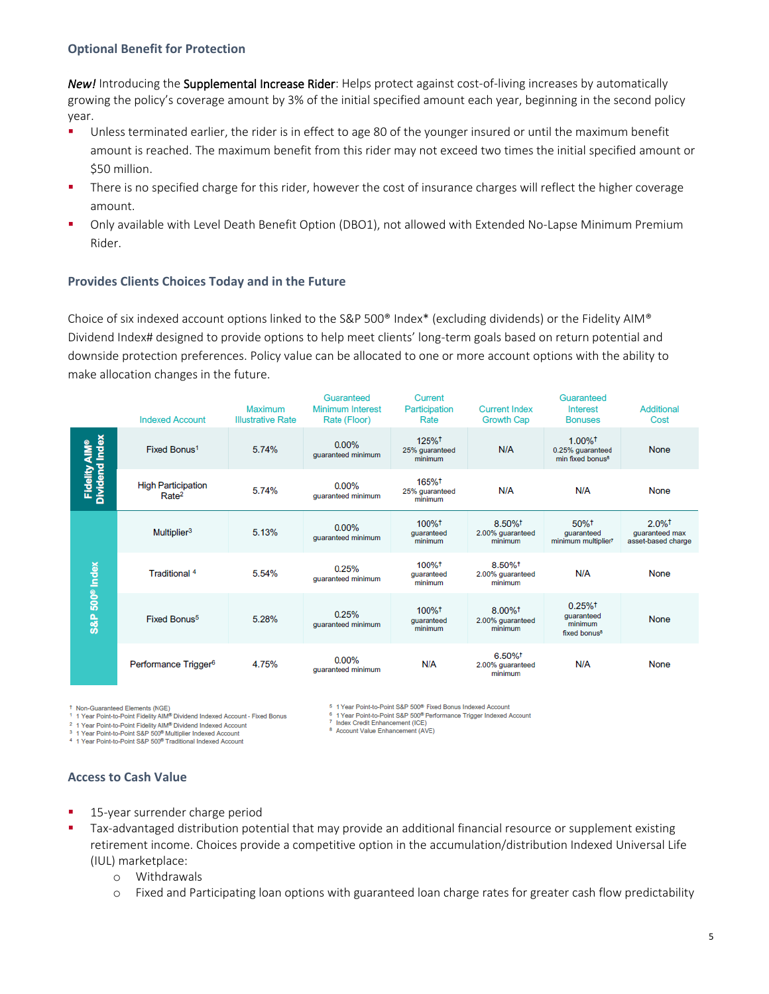#### **Optional Benefit for Protection**

*New!* Introducing the Supplemental Increase Rider: Helps protect against cost-of-living increases by automatically growing the policy's coverage amount by 3% of the initial specified amount each year, beginning in the second policy year.

- Unless terminated earlier, the rider is in effect to age 80 of the younger insured or until the maximum benefit amount is reached. The maximum benefit from this rider may not exceed two times the initial specified amount or \$50 million.
- **•** There is no specified charge for this rider, however the cost of insurance charges will reflect the higher coverage amount.
- Only available with Level Death Benefit Option (DBO1), not allowed with Extended No-Lapse Minimum Premium Rider.

#### **Provides Clients Choices Today and in the Future**

Choice of six indexed account options linked to the S&P 500® Index\* (excluding dividends) or the Fidelity AIM® Dividend Index# designed to provide options to help meet clients' long-term goals based on return potential and downside protection preferences. Policy value can be allocated to one or more account options with the ability to make allocation changes in the future.

|                                 | <b>Indexed Account</b>                         | Maximum<br><b>Illustrative Rate</b> | Guaranteed<br><b>Minimum Interest</b><br>Rate (Floor) | Current<br>Participation<br>Rate   | <b>Current Index</b><br>Growth Cap                   | Guaranteed<br>Interest<br><b>Bonuses</b>                                  | Additional<br>Cost                                           |
|---------------------------------|------------------------------------------------|-------------------------------------|-------------------------------------------------------|------------------------------------|------------------------------------------------------|---------------------------------------------------------------------------|--------------------------------------------------------------|
| Fidelity AIM®<br>Dividend Index | Fixed Bonus <sup>1</sup>                       | 5.74%                               | 0.00%<br>quaranteed minimum                           | 125%+<br>25% guaranteed<br>minimum | N/A                                                  | $1.00\%$ <sup>†</sup><br>0.25% guaranteed<br>min fixed bonus <sup>8</sup> | <b>None</b>                                                  |
|                                 | <b>High Participation</b><br>Rate <sup>2</sup> | 5.74%                               | $0.00\%$<br>quaranteed minimum                        | 165%+<br>25% guaranteed<br>minimum | N/A                                                  | N/A                                                                       | None                                                         |
| 500 <sup>®</sup> Index<br>S&P   | Multiplier <sup>3</sup>                        | 5.13%                               | $0.00\%$<br>guaranteed minimum                        | 100%+<br>quaranteed<br>minimum     | 8.50%+<br>2.00% guaranteed<br>minimum                | 50%+<br>guaranteed<br>minimum multiplier?                                 | $2.0\%$ <sup>†</sup><br>quaranteed max<br>asset-based charge |
|                                 | Traditional 4                                  | 5.54%                               | 0.25%<br>guaranteed minimum                           | 100%+<br>quaranteed<br>minimum     | 8.50%+<br>2.00% quaranteed<br>minimum                | N/A                                                                       | None                                                         |
|                                 | Fixed Bonus <sup>5</sup>                       | 5.28%                               | 0.25%<br>guaranteed minimum                           | 100%+<br>quaranteed<br>minimum     | $8.00\%$ <sup>†</sup><br>2.00% guaranteed<br>minimum | $0.25%$ <sup>†</sup><br>quaranteed<br>minimum<br>fixed bonus <sup>8</sup> | <b>None</b>                                                  |
|                                 | Performance Trigger <sup>6</sup>               | 4.75%                               | 0.00%<br>quaranteed minimum                           | N/A                                | 6.50%+<br>2.00% guaranteed<br>minimum                | N/A                                                                       | None                                                         |

Non-Guaranteed Elements (NGE)

1 Year Point-to-Point Fidelity AIM® Dividend Indexed Account - Fixed Bonus

<sup>2</sup> 1 Year Point-to-Point Fidelity AIM<sup>®</sup> Dividend Indexed Account<br><sup>3</sup> 1 Year Point-to-Point S&P 500<sup>®</sup> Multiplier Indexed Account

5 1 Year Point-to-Point S&P 500<sup>®</sup> Fixed Bonus Indexed Account

 $6$  1 Year Point-to-Point S&P 500<sup>®</sup> Performance Trigger Indexed Account 7 Index Credit Enhancement (ICE)

<sup>8</sup> Account Value Enhancement (AVE)

<sup>4</sup> 1 Year Point-to-Point S&P 500<sup>®</sup> Traditional Indexed Account

#### **Access to Cash Value**

- 15-year surrender charge period
- Tax-advantaged distribution potential that may provide an additional financial resource or supplement existing retirement income. Choices provide a competitive option in the accumulation/distribution Indexed Universal Life (IUL) marketplace:
	- o Withdrawals
	- o Fixed and Participating loan options with guaranteed loan charge rates for greater cash flow predictability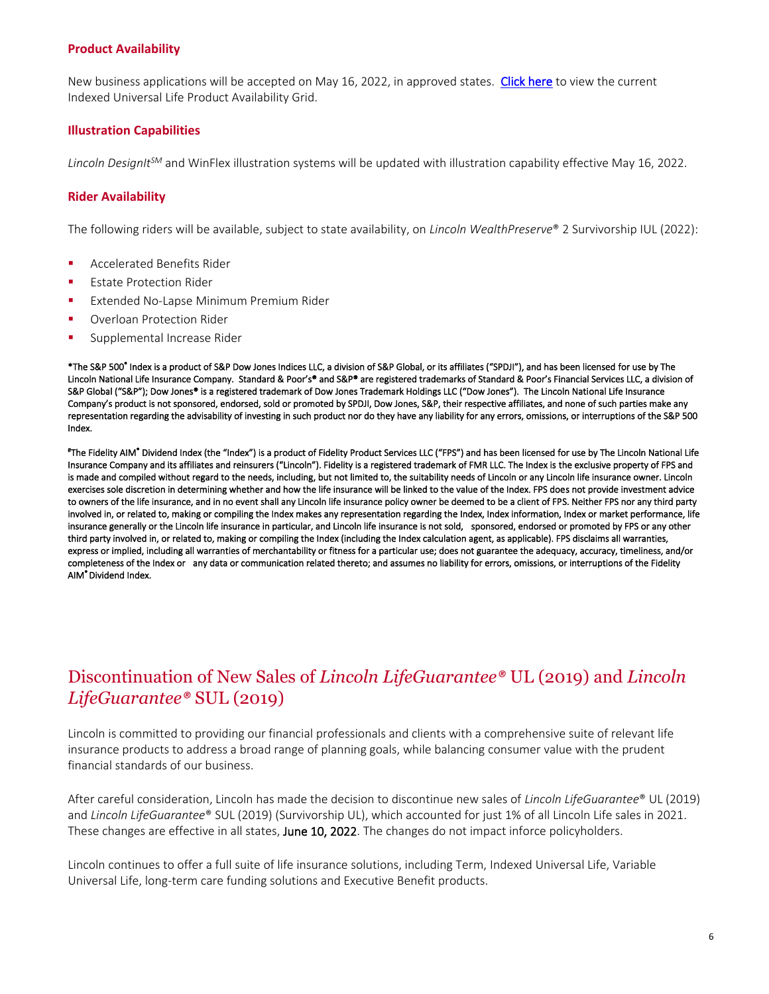#### **Product Availability**

New business applications will be accepted on May 16, 2022, in approved states. [Click here](https://bit.ly/IULavailability) to view the current Indexed Universal Life Product Availability Grid.

#### **Illustration Capabilities**

*Lincoln DesignItSM* and WinFlex illustration systems will be updated with illustration capability effective May 16, 2022.

#### **Rider Availability**

The following riders will be available, subject to state availability, on *Lincoln WealthPreserve*® 2 Survivorship IUL (2022):

- Accelerated Benefits Rider
- **Estate Protection Rider**
- **Extended No-Lapse Minimum Premium Rider**
- Overloan Protection Rider
- **■** Supplemental Increase Rider

\*The S&P 500® Index is a product of S&P Dow Jones Indices LLC, a division of S&P Global, or its affiliates ("SPDJI"), and has been licensed for use by The Lincoln National Life Insurance Company. Standard & Poor's® and S&P® are registered trademarks of Standard & Poor's Financial Services LLC, a division of S&P Global ("S&P"); Dow Jones® is a registered trademark of Dow Jones Trademark Holdings LLC ("Dow Jones"). The Lincoln National Life Insurance Company's product is not sponsored, endorsed, sold or promoted by SPDJI, Dow Jones, S&P, their respective affiliates, and none of such parties make any representation regarding the advisability of investing in such product nor do they have any liability for any errors, omissions, or interruptions of the S&P 500 Index.

# The Fidelity AIM® Dividend Index (the "Index") is a product of Fidelity Product Services LLC ("FPS") and has been licensed for use by The Lincoln National Life Insurance Company and its affiliates and reinsurers ("Lincoln"). Fidelity is a registered trademark of FMR LLC. The Index is the exclusive property of FPS and is made and compiled without regard to the needs, including, but not limited to, the suitability needs of Lincoln or any Lincoln life insurance owner. Lincoln exercises sole discretion in determining whether and how the life insurance will be linked to the value of the Index. FPS does not provide investment advice to owners of the life insurance, and in no event shall any Lincoln life insurance policy owner be deemed to be a client of FPS. Neither FPS nor any third party involved in, or related to, making or compiling the Index makes any representation regarding the Index, Index information, Index or market performance, life insurance generally or the Lincoln life insurance in particular, and Lincoln life insurance is not sold, sponsored, endorsed or promoted by FPS or any other third party involved in, or related to, making or compiling the Index (including the Index calculation agent, as applicable). FPS disclaims all warranties, express or implied, including all warranties of merchantability or fitness for a particular use; does not guarantee the adequacy, accuracy, timeliness, and/or completeness of the Index or any data or communication related thereto; and assumes no liability for errors, omissions, or interruptions of the Fidelity AIM® Dividend Index.

## <span id="page-5-0"></span>Discontinuation of New Sales of *Lincoln LifeGuarantee®* UL (2019) and *Lincoln LifeGuarantee®* SUL (2019)

Lincoln is committed to providing our financial professionals and clients with a comprehensive suite of relevant life insurance products to address a broad range of planning goals, while balancing consumer value with the prudent financial standards of our business.

After careful consideration, Lincoln has made the decision to discontinue new sales of *Lincoln LifeGuarantee*® UL (2019) and *Lincoln LifeGuarantee*® SUL (2019) (Survivorship UL), which accounted for just 1% of all Lincoln Life sales in 2021. These changes are effective in all states, June 10, 2022. The changes do not impact inforce policyholders.

Lincoln continues to offer a full suite of life insurance solutions, including Term, Indexed Universal Life, Variable Universal Life, long-term care funding solutions and Executive Benefit products.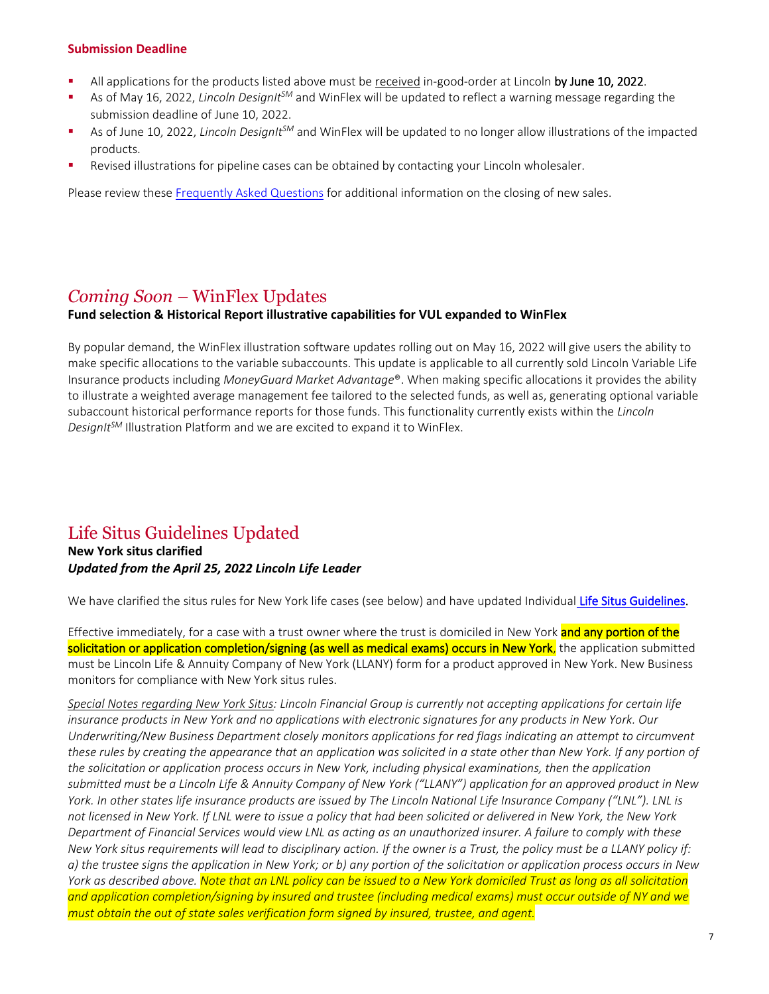#### **Submission Deadline**

- <sup>■</sup> All applications for the products listed above must be received in-good-order at Lincoln by June 10, 2022.
- As of May 16, 2022, *Lincoln DesignIt<sup>SM</sup>* and WinFlex will be updated to reflect a warning message regarding the submission deadline of June 10, 2022.
- As of June 10, 2022, *Lincoln DesignIt<sup>SM</sup>* and WinFlex will be updated to no longer allow illustrations of the impacted products.
- Revised illustrations for pipeline cases can be obtained by contacting your Lincoln wholesaler.

Please review these [Frequently Asked Questions](https://lfg.workfrontdam.com/embedpdf.php?size=original&embedAssetId=cnAhs4t7sSe71AXk) for additional information on the closing of new sales.

## <span id="page-6-0"></span>*Coming Soon –* WinFlex Updates

#### **Fund selection & Historical Report illustrative capabilities for VUL expanded to WinFlex**

By popular demand, the WinFlex illustration software updates rolling out on May 16, 2022 will give users the ability to make specific allocations to the variable subaccounts. This update is applicable to all currently sold Lincoln Variable Life Insurance products including *MoneyGuard Market Advantage*®. When making specific allocations it provides the ability to illustrate a weighted average management fee tailored to the selected funds, as well as, generating optional variable subaccount historical performance reports for those funds. This functionality currently exists within the *Lincoln DesignItSM* Illustration Platform and we are excited to expand it to WinFlex.

## <span id="page-6-1"></span>Life Situs Guidelines Updated

**New York situs clarified** *Updated from the April 25, 2022 Lincoln Life Leader*

We have clarified the situs rules for New York life cases (see below) and have updated Individua[l Life Situs Guidelines.](https://lfg.workfrontdam.com/embedpdf.php?size=original&embedAssetId=Q1GR5wg5t7w4)

Effective immediately, for a case with a trust owner where the trust is domiciled in New York **and any portion of the** solicitation or application completion/signing (as well as medical exams) occurs in New York, the application submitted must be Lincoln Life & Annuity Company of New York (LLANY) form for a product approved in New York. New Business monitors for compliance with New York situs rules.

*Special Notes regarding New York Situs: Lincoln Financial Group is currently not accepting applications for certain life insurance products in New York and no applications with electronic signatures for any products in New York. Our Underwriting/New Business Department closely monitors applications for red flags indicating an attempt to circumvent these rules by creating the appearance that an application was solicited in a state other than New York. If any portion of the solicitation or application process occurs in New York, including physical examinations, then the application submitted must be a Lincoln Life & Annuity Company of New York ("LLANY") application for an approved product in New York. In other states life insurance products are issued by The Lincoln National Life Insurance Company ("LNL"). LNL is not licensed in New York. If LNL were to issue a policy that had been solicited or delivered in New York, the New York Department of Financial Services would view LNL as acting as an unauthorized insurer. A failure to comply with these New York situs requirements will lead to disciplinary action. If the owner is a Trust, the policy must be a LLANY policy if: a) the trustee signs the application in New York; or b) any portion of the solicitation or application process occurs in New York as described above. Note that an LNL policy can be issued to a New York domiciled Trust as long as all solicitation and application completion/signing by insured and trustee (including medical exams) must occur outside of NY and we must obtain the out of state sales verification form signed by insured, trustee, and agent.*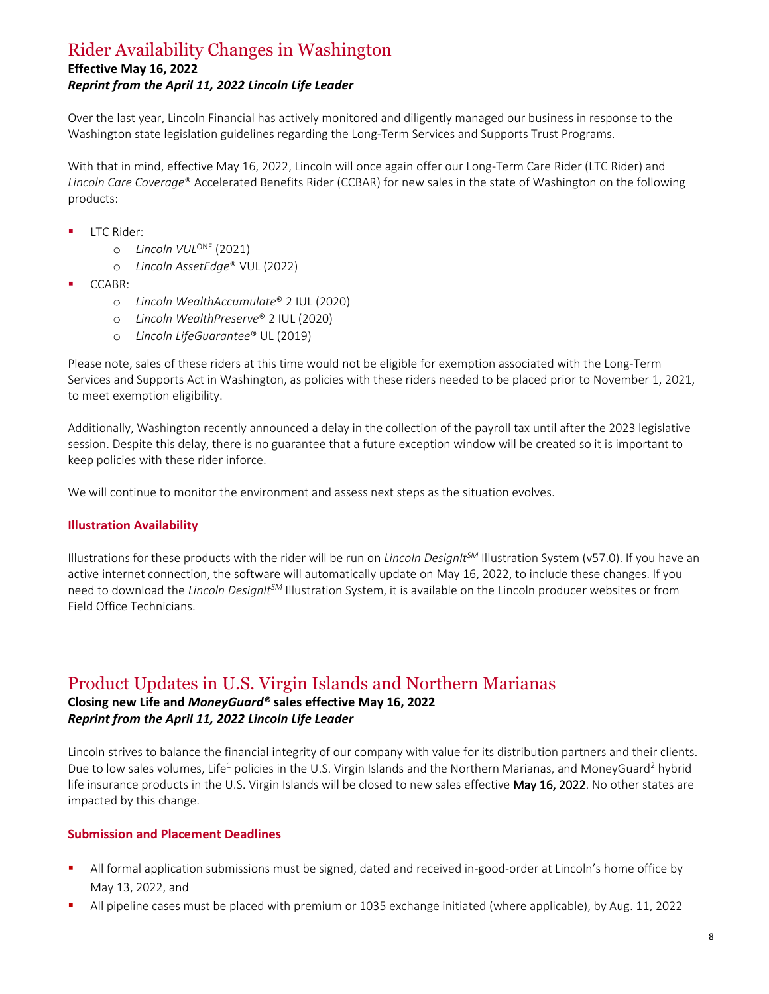## <span id="page-7-0"></span>Rider Availability Changes in Washington

#### **Effective May 16, 2022**

#### *Reprint from the April 11, 2022 Lincoln Life Leader*

Over the last year, Lincoln Financial has actively monitored and diligently managed our business in response to the Washington state legislation guidelines regarding the Long-Term Services and Supports Trust Programs.

With that in mind, effective May 16, 2022, Lincoln will once again offer our Long-Term Care Rider (LTC Rider) and *Lincoln Care Coverage*® Accelerated Benefits Rider (CCBAR) for new sales in the state of Washington on the following products:

- LTC Rider:
	- o *Lincoln VUL*ONE (2021)
	- o *Lincoln AssetEdge*® VUL (2022)
- CCABR:
	- o *Lincoln WealthAccumulate*® 2 IUL (2020)
	- o *Lincoln WealthPreserve*® 2 IUL (2020)
	- o *Lincoln LifeGuarantee*® UL (2019)

Please note, sales of these riders at this time would not be eligible for exemption associated with the Long-Term Services and Supports Act in Washington, as policies with these riders needed to be placed prior to November 1, 2021, to meet exemption eligibility.

Additionally, Washington recently announced a delay in the collection of the payroll tax until after the 2023 legislative session. Despite this delay, there is no guarantee that a future exception window will be created so it is important to keep policies with these rider inforce.

We will continue to monitor the environment and assess next steps as the situation evolves.

#### **Illustration Availability**

Illustrations for these products with the rider will be run on *Lincoln DesignItSM* Illustration System (v57.0). If you have an active internet connection, the software will automatically update on May 16, 2022, to include these changes. If you need to download the *Lincoln DesignItSM* Illustration System, it is available on the Lincoln producer websites or from Field Office Technicians.

### <span id="page-7-1"></span>Product Updates in U.S. Virgin Islands and Northern Marianas

#### **Closing new Life and** *MoneyGuard®* **sales effective May 16, 2022** *Reprint from the April 11, 2022 Lincoln Life Leader*

Lincoln strives to balance the financial integrity of our company with value for its distribution partners and their clients. Due to low sales volumes, Life<sup>1</sup> policies in the U.S. Virgin Islands and the Northern Marianas, and MoneyGuard<sup>2</sup> hybrid life insurance products in the U.S. Virgin Islands will be closed to new sales effective May 16, 2022. No other states are impacted by this change.

#### **Submission and Placement Deadlines**

- All formal application submissions must be signed, dated and received in-good-order at Lincoln's home office by May 13, 2022, and
- All pipeline cases must be placed with premium or 1035 exchange initiated (where applicable), by Aug. 11, 2022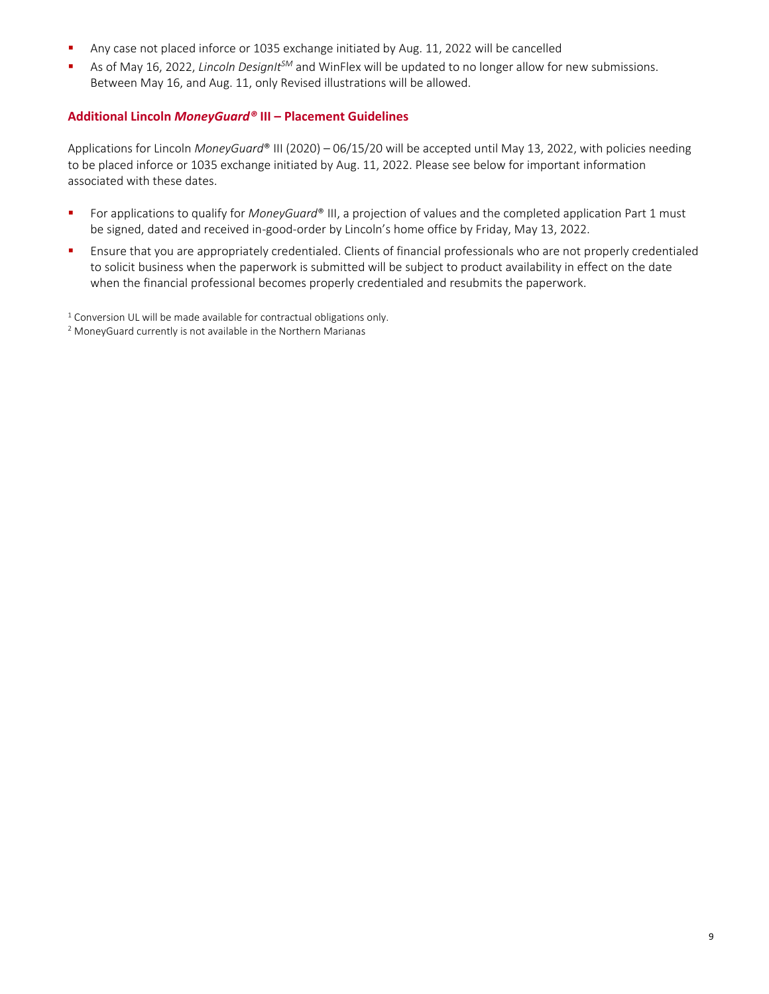- Any case not placed inforce or 1035 exchange initiated by Aug. 11, 2022 will be cancelled
- As of May 16, 2022, *Lincoln DesignIt<sup>SM</sup>* and WinFlex will be updated to no longer allow for new submissions. Between May 16, and Aug. 11, only Revised illustrations will be allowed.

#### **Additional Lincoln** *MoneyGuard®* **III – Placement Guidelines**

Applications for Lincoln *MoneyGuard*® III (2020) – 06/15/20 will be accepted until May 13, 2022, with policies needing to be placed inforce or 1035 exchange initiated by Aug. 11, 2022. Please see below for important information associated with these dates.

- For applications to qualify for *MoneyGuard®* III, a projection of values and the completed application Part 1 must be signed, dated and received in-good-order by Lincoln's home office by Friday, May 13, 2022.
- **EXECTE FINITY CONTEX 1** Ensure that you are appropriately credentialed. Clients of financial professionals who are not properly credentialed to solicit business when the paperwork is submitted will be subject to product availability in effect on the date when the financial professional becomes properly credentialed and resubmits the paperwork.
- <sup>1</sup> Conversion UL will be made available for contractual obligations only.
- <sup>2</sup> MoneyGuard currently is not available in the Northern Marianas